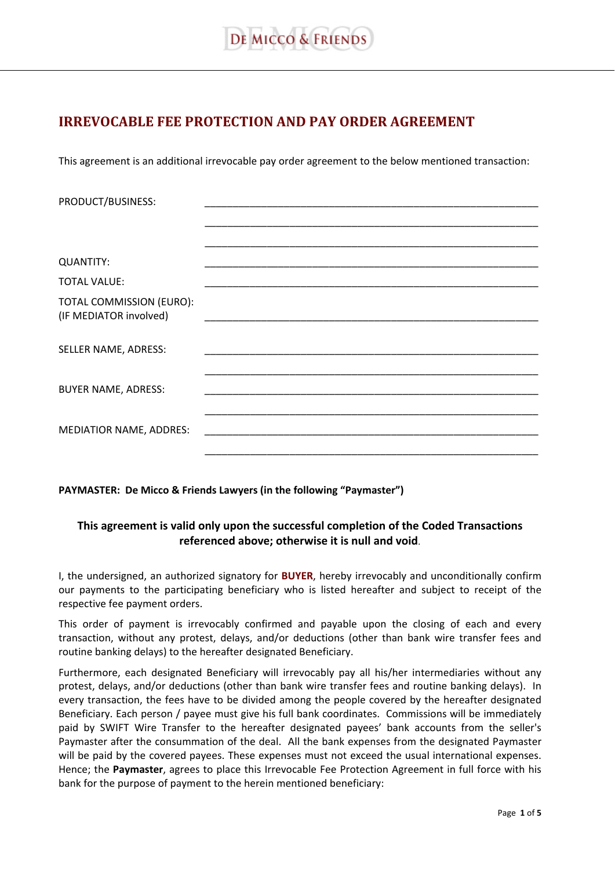# **IRREVOCABLE FEE PROTECTION AND PAY ORDER AGREEMENT**

This agreement is an additional irrevocable pay order agreement to the below mentioned transaction:

| PRODUCT/BUSINESS:                                  |  |
|----------------------------------------------------|--|
|                                                    |  |
|                                                    |  |
|                                                    |  |
| <b>QUANTITY:</b>                                   |  |
| <b>TOTAL VALUE:</b>                                |  |
| TOTAL COMMISSION (EURO):<br>(IF MEDIATOR involved) |  |
|                                                    |  |
| SELLER NAME, ADRESS:                               |  |
|                                                    |  |
| <b>BUYER NAME, ADRESS:</b>                         |  |
|                                                    |  |
| <b>MEDIATIOR NAME, ADDRES:</b>                     |  |
|                                                    |  |
|                                                    |  |

**PAYMASTER: De Micco & Friends Lawyers (in the following "Paymaster")** 

## **This agreement is valid only upon the successful completion of the Coded Transactions referenced above; otherwise it is null and void**.

I, the undersigned, an authorized signatory for **BUYER**, hereby irrevocably and unconditionally confirm our payments to the participating beneficiary who is listed hereafter and subject to receipt of the respective fee payment orders.

This order of payment is irrevocably confirmed and payable upon the closing of each and every transaction, without any protest, delays, and/or deductions (other than bank wire transfer fees and routine banking delays) to the hereafter designated Beneficiary.

Furthermore, each designated Beneficiary will irrevocably pay all his/her intermediaries without any protest, delays, and/or deductions (other than bank wire transfer fees and routine banking delays). In every transaction, the fees have to be divided among the people covered by the hereafter designated Beneficiary. Each person / payee must give his full bank coordinates. Commissions will be immediately paid by SWIFT Wire Transfer to the hereafter designated payees' bank accounts from the seller's Paymaster after the consummation of the deal. All the bank expenses from the designated Paymaster will be paid by the covered payees. These expenses must not exceed the usual international expenses. Hence; the **Paymaster**, agrees to place this Irrevocable Fee Protection Agreement in full force with his bank for the purpose of payment to the herein mentioned beneficiary: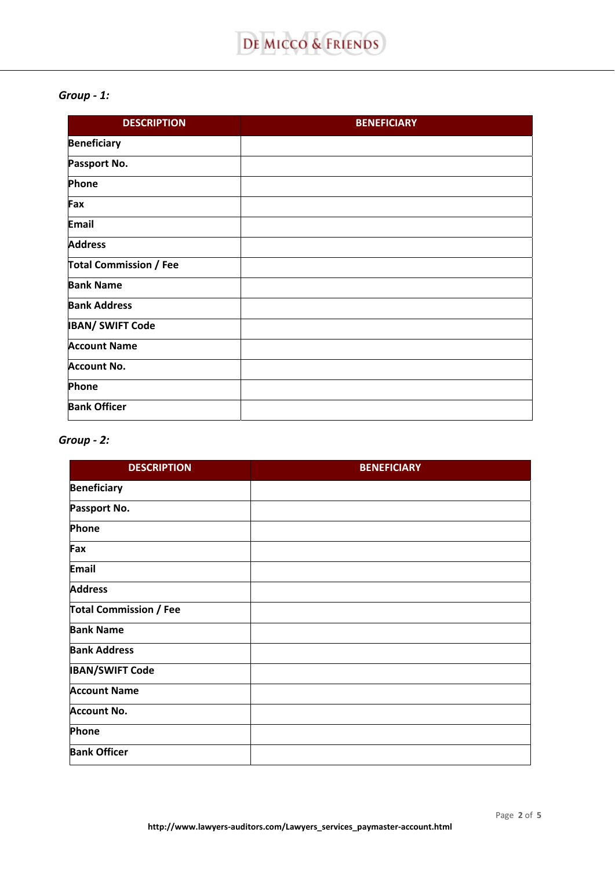#### *Group - 1:*

| <b>DESCRIPTION</b>            | <b>BENEFICIARY</b> |
|-------------------------------|--------------------|
| <b>Beneficiary</b>            |                    |
| Passport No.                  |                    |
| Phone                         |                    |
| Fax                           |                    |
| <b>Email</b>                  |                    |
| <b>Address</b>                |                    |
| <b>Total Commission / Fee</b> |                    |
| <b>Bank Name</b>              |                    |
| <b>Bank Address</b>           |                    |
| <b>IBAN/ SWIFT Code</b>       |                    |
| <b>Account Name</b>           |                    |
| <b>Account No.</b>            |                    |
| Phone                         |                    |
| <b>Bank Officer</b>           |                    |

# *Group - 2:*

| <b>DESCRIPTION</b>            | <b>BENEFICIARY</b> |
|-------------------------------|--------------------|
| <b>Beneficiary</b>            |                    |
| Passport No.                  |                    |
| Phone                         |                    |
| Fax                           |                    |
| <b>Email</b>                  |                    |
| <b>Address</b>                |                    |
| <b>Total Commission / Fee</b> |                    |
| <b>Bank Name</b>              |                    |
| <b>Bank Address</b>           |                    |
| <b>IBAN/SWIFT Code</b>        |                    |
| <b>Account Name</b>           |                    |
| <b>Account No.</b>            |                    |
| Phone                         |                    |
| <b>Bank Officer</b>           |                    |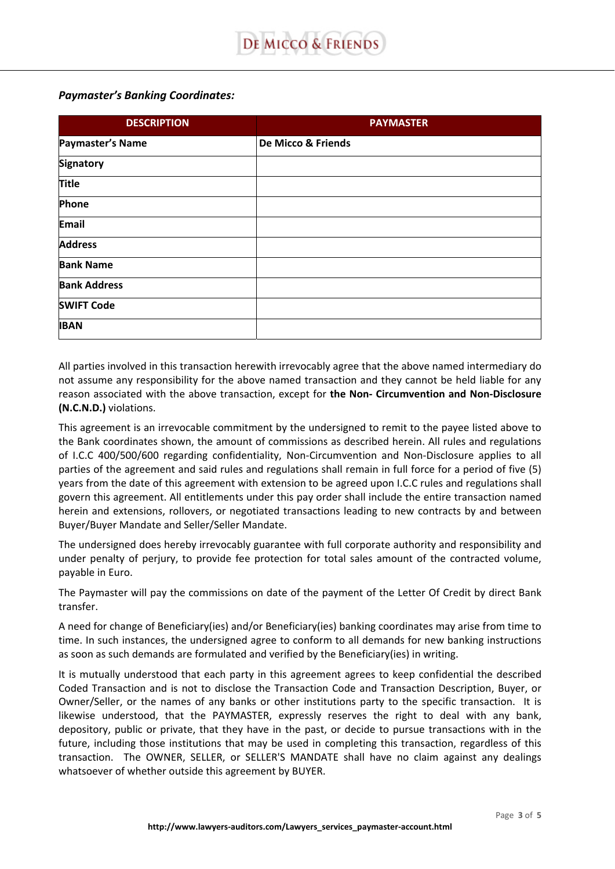### *Paymaster's Banking Coordinates:*

| <b>DESCRIPTION</b>  | <b>PAYMASTER</b>   |
|---------------------|--------------------|
| Paymaster's Name    | De Micco & Friends |
| <b>Signatory</b>    |                    |
| <b>Title</b>        |                    |
| Phone               |                    |
| Email               |                    |
| <b>Address</b>      |                    |
| <b>Bank Name</b>    |                    |
| <b>Bank Address</b> |                    |
| <b>SWIFT Code</b>   |                    |
| <b>IBAN</b>         |                    |

All parties involved in this transaction herewith irrevocably agree that the above named intermediary do not assume any responsibility for the above named transaction and they cannot be held liable for any reason associated with the above transaction, except for **the Non- Circumvention and Non-Disclosure (N.C.N.D.)** violations.

This agreement is an irrevocable commitment by the undersigned to remit to the payee listed above to the Bank coordinates shown, the amount of commissions as described herein. All rules and regulations of I.C.C 400/500/600 regarding confidentiality, Non-Circumvention and Non-Disclosure applies to all parties of the agreement and said rules and regulations shall remain in full force for a period of five (5) years from the date of this agreement with extension to be agreed upon I.C.C rules and regulations shall govern this agreement. All entitlements under this pay order shall include the entire transaction named herein and extensions, rollovers, or negotiated transactions leading to new contracts by and between Buyer/Buyer Mandate and Seller/Seller Mandate.

The undersigned does hereby irrevocably guarantee with full corporate authority and responsibility and under penalty of perjury, to provide fee protection for total sales amount of the contracted volume, payable in Euro.

The Paymaster will pay the commissions on date of the payment of the Letter Of Credit by direct Bank transfer.

A need for change of Beneficiary(ies) and/or Beneficiary(ies) banking coordinates may arise from time to time. In such instances, the undersigned agree to conform to all demands for new banking instructions as soon as such demands are formulated and verified by the Beneficiary(ies) in writing.

It is mutually understood that each party in this agreement agrees to keep confidential the described Coded Transaction and is not to disclose the Transaction Code and Transaction Description, Buyer, or Owner/Seller, or the names of any banks or other institutions party to the specific transaction. It is likewise understood, that the PAYMASTER, expressly reserves the right to deal with any bank, depository, public or private, that they have in the past, or decide to pursue transactions with in the future, including those institutions that may be used in completing this transaction, regardless of this transaction. The OWNER, SELLER, or SELLER'S MANDATE shall have no claim against any dealings whatsoever of whether outside this agreement by BUYER.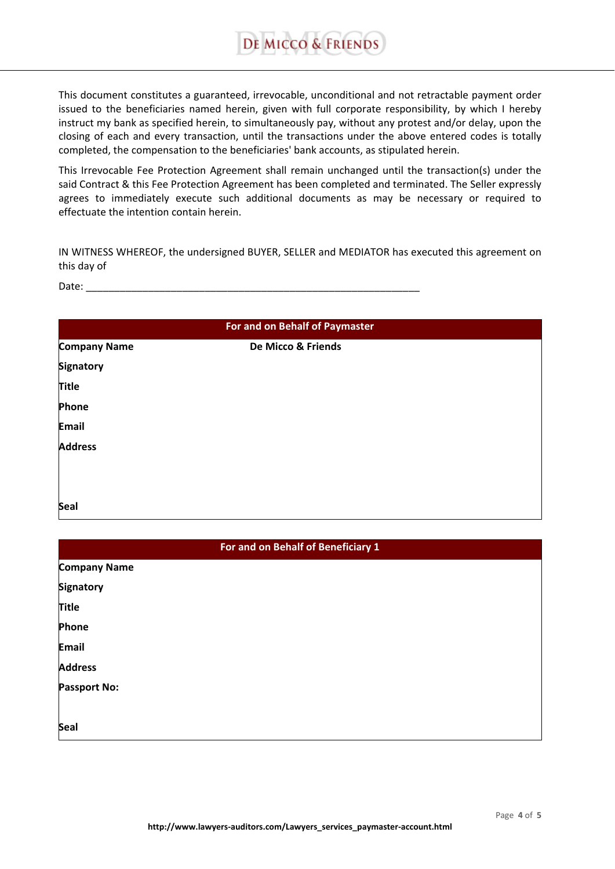

This document constitutes a guaranteed, irrevocable, unconditional and not retractable payment order issued to the beneficiaries named herein, given with full corporate responsibility, by which I hereby instruct my bank as specified herein, to simultaneously pay, without any protest and/or delay, upon the closing of each and every transaction, until the transactions under the above entered codes is totally completed, the compensation to the beneficiaries' bank accounts, as stipulated herein.

This Irrevocable Fee Protection Agreement shall remain unchanged until the transaction(s) under the said Contract & this Fee Protection Agreement has been completed and terminated. The Seller expressly agrees to immediately execute such additional documents as may be necessary or required to effectuate the intention contain herein.

IN WITNESS WHEREOF, the undersigned BUYER, SELLER and MEDIATOR has executed this agreement on this day of

Date: \_\_\_\_\_\_\_\_\_\_\_\_\_\_\_\_\_\_\_\_\_\_\_\_\_\_\_\_\_\_\_\_\_\_\_\_\_\_\_\_\_\_\_\_\_\_\_\_\_\_\_\_\_\_\_\_\_\_\_

| For and on Behalf of Paymaster |                    |  |
|--------------------------------|--------------------|--|
| <b>Company Name</b>            | De Micco & Friends |  |
| <b>Signatory</b>               |                    |  |
| <b>Title</b>                   |                    |  |
| Phone                          |                    |  |
| <b>Email</b>                   |                    |  |
| <b>Address</b>                 |                    |  |
|                                |                    |  |
|                                |                    |  |
| Seal                           |                    |  |

| For and on Behalf of Beneficiary 1 |  |  |
|------------------------------------|--|--|
| <b>Company Name</b>                |  |  |
| <b>Signatory</b>                   |  |  |
| <b>Title</b>                       |  |  |
| Phone                              |  |  |
| <b>Email</b>                       |  |  |
| <b>Address</b>                     |  |  |
| <b>Passport No:</b>                |  |  |
|                                    |  |  |
| Seal                               |  |  |